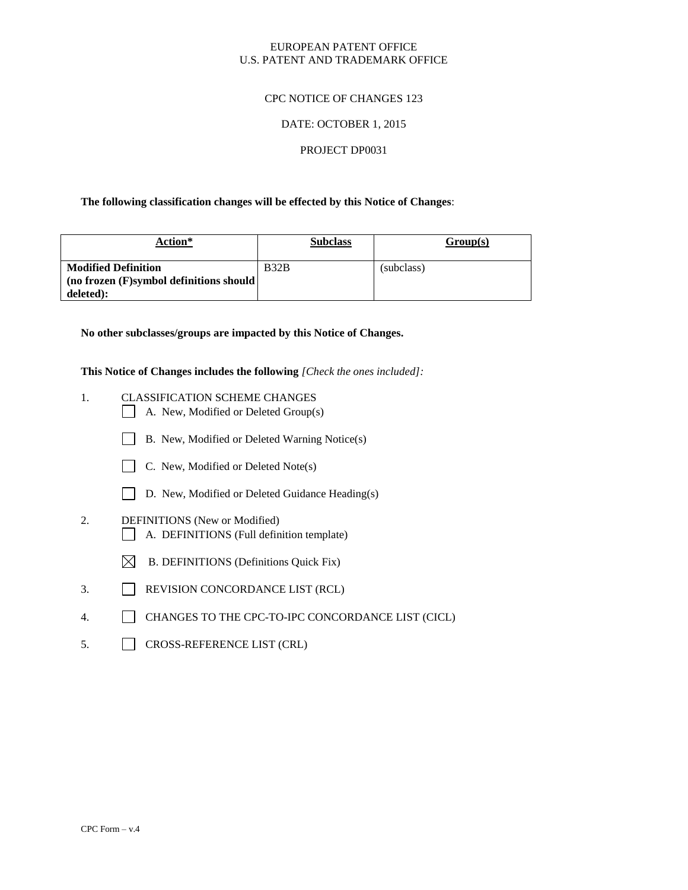## EUROPEAN PATENT OFFICE U.S. PATENT AND TRADEMARK OFFICE

### CPC NOTICE OF CHANGES 123

#### DATE: OCTOBER 1, 2015

#### PROJECT DP0031

#### **The following classification changes will be effected by this Notice of Changes**:

| Action*                                   | <b>Subclass</b> | Group(s)   |
|-------------------------------------------|-----------------|------------|
| <b>Modified Definition</b>                | B32B            | (subclass) |
| $(no frozen(F)$ symbol definitions should |                 |            |
| deleted):                                 |                 |            |

**No other subclasses/groups are impacted by this Notice of Changes.**

**This Notice of Changes includes the following** *[Check the ones included]:*

- 1. CLASSIFICATION SCHEME CHANGES
	- A. New, Modified or Deleted Group(s)
	- B. New, Modified or Deleted Warning Notice(s)
	- C. New, Modified or Deleted Note(s)
	- D. New, Modified or Deleted Guidance Heading(s)
- 2. DEFINITIONS (New or Modified)
	- A. DEFINITIONS (Full definition template)
	- $\boxtimes$  B. DEFINITIONS (Definitions Quick Fix)
- 3. REVISION CONCORDANCE LIST (RCL)
- 4. CHANGES TO THE CPC-TO-IPC CONCORDANCE LIST (CICL)
- 5. CROSS-REFERENCE LIST (CRL)